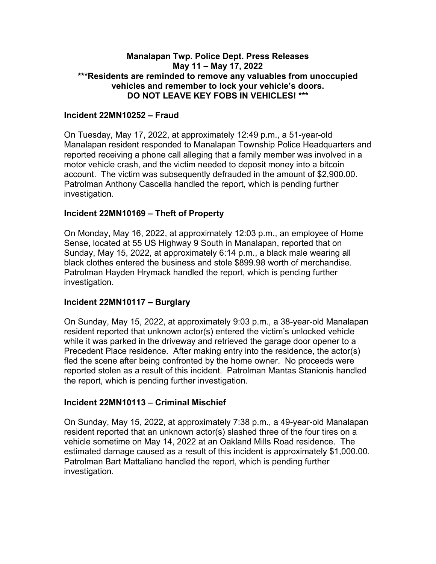## **Manalapan Twp. Police Dept. Press Releases May 11 – May 17, 2022 \*\*\*Residents are reminded to remove any valuables from unoccupied vehicles and remember to lock your vehicle's doors. DO NOT LEAVE KEY FOBS IN VEHICLES! \*\*\***

## **Incident 22MN10252 – Fraud**

On Tuesday, May 17, 2022, at approximately 12:49 p.m., a 51-year-old Manalapan resident responded to Manalapan Township Police Headquarters and reported receiving a phone call alleging that a family member was involved in a motor vehicle crash, and the victim needed to deposit money into a bitcoin account. The victim was subsequently defrauded in the amount of \$2,900.00. Patrolman Anthony Cascella handled the report, which is pending further investigation.

## **Incident 22MN10169 – Theft of Property**

On Monday, May 16, 2022, at approximately 12:03 p.m., an employee of Home Sense, located at 55 US Highway 9 South in Manalapan, reported that on Sunday, May 15, 2022, at approximately 6:14 p.m., a black male wearing all black clothes entered the business and stole \$899.98 worth of merchandise. Patrolman Hayden Hrymack handled the report, which is pending further investigation.

## **Incident 22MN10117 – Burglary**

On Sunday, May 15, 2022, at approximately 9:03 p.m., a 38-year-old Manalapan resident reported that unknown actor(s) entered the victim's unlocked vehicle while it was parked in the driveway and retrieved the garage door opener to a Precedent Place residence. After making entry into the residence, the actor(s) fled the scene after being confronted by the home owner. No proceeds were reported stolen as a result of this incident. Patrolman Mantas Stanionis handled the report, which is pending further investigation.

## **Incident 22MN10113 – Criminal Mischief**

On Sunday, May 15, 2022, at approximately 7:38 p.m., a 49-year-old Manalapan resident reported that an unknown actor(s) slashed three of the four tires on a vehicle sometime on May 14, 2022 at an Oakland Mills Road residence. The estimated damage caused as a result of this incident is approximately \$1,000.00. Patrolman Bart Mattaliano handled the report, which is pending further investigation.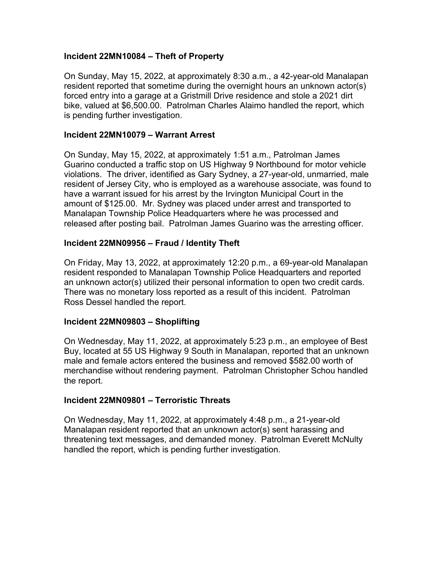## **Incident 22MN10084 – Theft of Property**

On Sunday, May 15, 2022, at approximately 8:30 a.m., a 42-year-old Manalapan resident reported that sometime during the overnight hours an unknown actor(s) forced entry into a garage at a Gristmill Drive residence and stole a 2021 dirt bike, valued at \$6,500.00. Patrolman Charles Alaimo handled the report, which is pending further investigation.

## **Incident 22MN10079 – Warrant Arrest**

On Sunday, May 15, 2022, at approximately 1:51 a.m., Patrolman James Guarino conducted a traffic stop on US Highway 9 Northbound for motor vehicle violations. The driver, identified as Gary Sydney, a 27-year-old, unmarried, male resident of Jersey City, who is employed as a warehouse associate, was found to have a warrant issued for his arrest by the Irvington Municipal Court in the amount of \$125.00. Mr. Sydney was placed under arrest and transported to Manalapan Township Police Headquarters where he was processed and released after posting bail. Patrolman James Guarino was the arresting officer.

## **Incident 22MN09956 – Fraud / Identity Theft**

On Friday, May 13, 2022, at approximately 12:20 p.m., a 69-year-old Manalapan resident responded to Manalapan Township Police Headquarters and reported an unknown actor(s) utilized their personal information to open two credit cards. There was no monetary loss reported as a result of this incident. Patrolman Ross Dessel handled the report.

## **Incident 22MN09803 – Shoplifting**

On Wednesday, May 11, 2022, at approximately 5:23 p.m., an employee of Best Buy, located at 55 US Highway 9 South in Manalapan, reported that an unknown male and female actors entered the business and removed \$582.00 worth of merchandise without rendering payment. Patrolman Christopher Schou handled the report.

## **Incident 22MN09801 – Terroristic Threats**

On Wednesday, May 11, 2022, at approximately 4:48 p.m., a 21-year-old Manalapan resident reported that an unknown actor(s) sent harassing and threatening text messages, and demanded money. Patrolman Everett McNulty handled the report, which is pending further investigation.